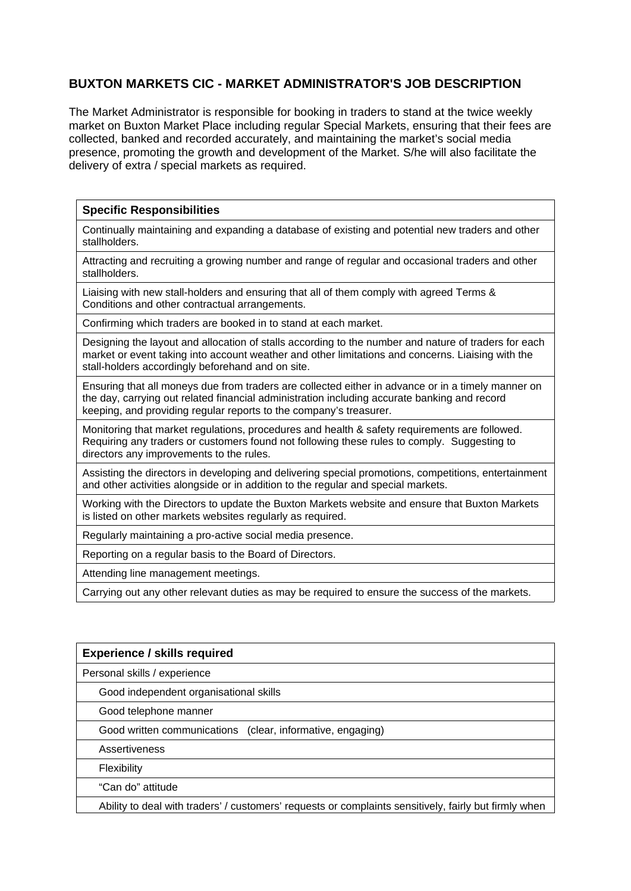# **BUXTON MARKETS CIC - MARKET ADMINISTRATOR'S JOB DESCRIPTION**

The Market Administrator is responsible for booking in traders to stand at the twice weekly market on Buxton Market Place including regular Special Markets, ensuring that their fees are collected, banked and recorded accurately, and maintaining the market's social media presence, promoting the growth and development of the Market. S/he will also facilitate the delivery of extra / special markets as required.

## **Specific Responsibilities**

Continually maintaining and expanding a database of existing and potential new traders and other stallholders.

Attracting and recruiting a growing number and range of regular and occasional traders and other stallholders.

Liaising with new stall-holders and ensuring that all of them comply with agreed Terms & Conditions and other contractual arrangements.

Confirming which traders are booked in to stand at each market.

Designing the layout and allocation of stalls according to the number and nature of traders for each market or event taking into account weather and other limitations and concerns. Liaising with the stall-holders accordingly beforehand and on site.

Ensuring that all moneys due from traders are collected either in advance or in a timely manner on the day, carrying out related financial administration including accurate banking and record keeping, and providing regular reports to the company's treasurer.

Monitoring that market regulations, procedures and health & safety requirements are followed. Requiring any traders or customers found not following these rules to comply. Suggesting to directors any improvements to the rules.

Assisting the directors in developing and delivering special promotions, competitions, entertainment and other activities alongside or in addition to the regular and special markets.

Working with the Directors to update the Buxton Markets website and ensure that Buxton Markets is listed on other markets websites regularly as required.

Regularly maintaining a pro-active social media presence.

Reporting on a regular basis to the Board of Directors.

Attending line management meetings.

Carrying out any other relevant duties as may be required to ensure the success of the markets.

| <b>Experience / skills required</b>                        |
|------------------------------------------------------------|
| Personal skills / experience                               |
| Good independent organisational skills                     |
| Good telephone manner                                      |
| Good written communications (clear, informative, engaging) |
| Assertiveness                                              |
| <b>Flexibility</b>                                         |
| "Can do" attitude                                          |

Ability to deal with traders' / customers' requests or complaints sensitively, fairly but firmly when